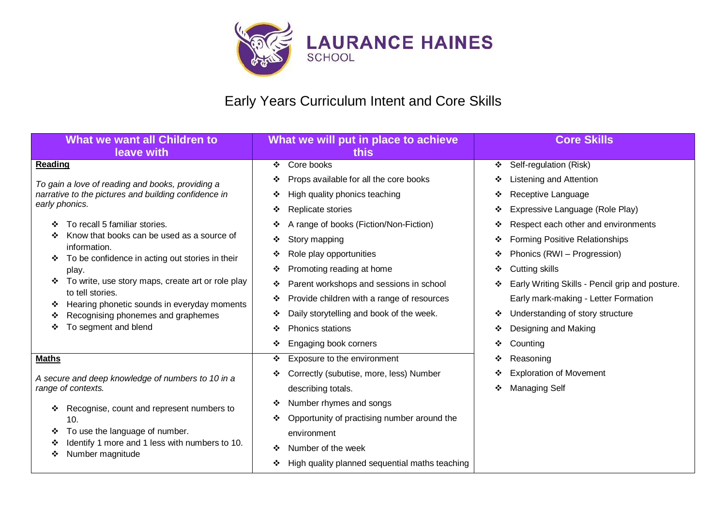

| What we want all Children to<br>leave with                                                               | What we will put in place to achieve<br>this        | <b>Core Skills</b>                                   |
|----------------------------------------------------------------------------------------------------------|-----------------------------------------------------|------------------------------------------------------|
| <b>Reading</b>                                                                                           | Core books<br>❖                                     | Self-regulation (Risk)<br>※                          |
| To gain a love of reading and books, providing a<br>narrative to the pictures and building confidence in | Props available for all the core books<br>❖         | Listening and Attention<br>❖                         |
|                                                                                                          | High quality phonics teaching<br>❖                  | Receptive Language<br>❖                              |
| early phonics.                                                                                           | Replicate stories<br>❖                              | Expressive Language (Role Play)<br>❖                 |
| To recall 5 familiar stories.<br>❖                                                                       | A range of books (Fiction/Non-Fiction)<br>❖         | Respect each other and environments<br>❖             |
| Know that books can be used as a source of<br>❖                                                          | Story mapping<br>❖                                  | <b>Forming Positive Relationships</b><br>❖           |
| information.<br>To be confidence in acting out stories in their                                          | Role play opportunities<br>❖                        | Phonics (RWI - Progression)<br>❖                     |
| play.                                                                                                    | Promoting reading at home<br>❖                      | Cutting skills<br>❖                                  |
| To write, use story maps, create art or role play<br>❖                                                   | Parent workshops and sessions in school<br>❖        | Early Writing Skills - Pencil grip and posture.<br>❖ |
| to tell stories.<br>Hearing phonetic sounds in everyday moments<br>❖                                     | Provide children with a range of resources<br>❖     | Early mark-making - Letter Formation                 |
| Recognising phonemes and graphemes<br>❖                                                                  | Daily storytelling and book of the week.<br>❖       | Understanding of story structure<br>❖                |
| To segment and blend<br>❖                                                                                | Phonics stations<br>❖                               | Designing and Making<br>❖                            |
|                                                                                                          | Engaging book corners<br>❖                          | Counting<br>❖                                        |
| <b>Maths</b>                                                                                             | Exposure to the environment<br>❖                    | Reasoning<br>❖                                       |
| A secure and deep knowledge of numbers to 10 in a                                                        | Correctly (subutise, more, less) Number<br>❖        | <b>Exploration of Movement</b><br>❖                  |
| range of contexts.                                                                                       | describing totals.                                  | <b>Managing Self</b><br>❖                            |
| Recognise, count and represent numbers to<br>❖                                                           | Number rhymes and songs<br>❖                        |                                                      |
| 10.                                                                                                      | Opportunity of practising number around the<br>❖    |                                                      |
| To use the language of number.<br>❖                                                                      | environment                                         |                                                      |
| Identify 1 more and 1 less with numbers to 10.<br>❖<br>Number magnitude<br>❖                             | Number of the week<br>❖                             |                                                      |
|                                                                                                          | High quality planned sequential maths teaching<br>❖ |                                                      |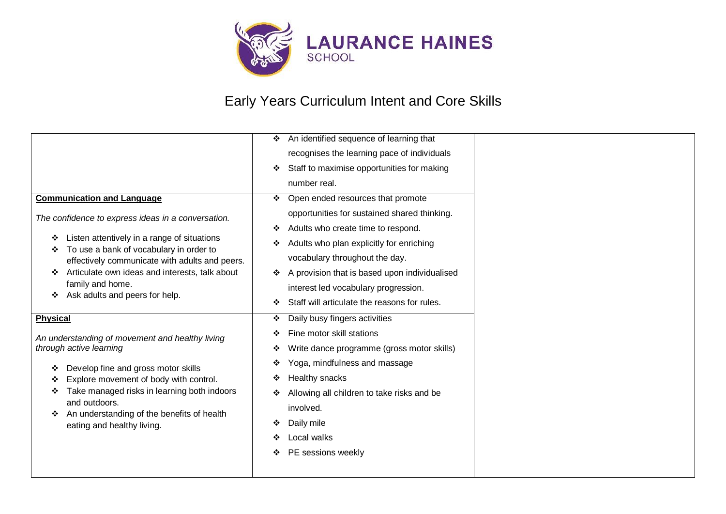

|                                                                                                                                                                                                     | An identified sequence of learning that<br>$\cdot$ |
|-----------------------------------------------------------------------------------------------------------------------------------------------------------------------------------------------------|----------------------------------------------------|
|                                                                                                                                                                                                     | recognises the learning pace of individuals        |
|                                                                                                                                                                                                     | Staff to maximise opportunities for making         |
|                                                                                                                                                                                                     | number real.                                       |
| <b>Communication and Language</b>                                                                                                                                                                   | Open ended resources that promote<br>❖             |
| The confidence to express ideas in a conversation.<br>Listen attentively in a range of situations<br>To use a bank of vocabulary in order to<br>❖<br>effectively communicate with adults and peers. | opportunities for sustained shared thinking.       |
|                                                                                                                                                                                                     | Adults who create time to respond.<br>❖            |
|                                                                                                                                                                                                     | Adults who plan explicitly for enriching           |
|                                                                                                                                                                                                     | vocabulary throughout the day.                     |
| Articulate own ideas and interests, talk about<br>❖                                                                                                                                                 | A provision that is based upon individualised<br>❖ |
| family and home.                                                                                                                                                                                    | interest led vocabulary progression.               |
| Ask adults and peers for help.<br>❖                                                                                                                                                                 | Staff will articulate the reasons for rules.       |
| <b>Physical</b>                                                                                                                                                                                     | Daily busy fingers activities<br>❖                 |
| An understanding of movement and healthy living<br>through active learning                                                                                                                          | Fine motor skill stations                          |
|                                                                                                                                                                                                     | Write dance programme (gross motor skills)<br>❖    |
| Develop fine and gross motor skills                                                                                                                                                                 | Yoga, mindfulness and massage<br>❖                 |
| Explore movement of body with control.<br>❖                                                                                                                                                         | Healthy snacks                                     |
| Take managed risks in learning both indoors                                                                                                                                                         | Allowing all children to take risks and be         |
| and outdoors.                                                                                                                                                                                       | involved.                                          |
| An understanding of the benefits of health<br>eating and healthy living.                                                                                                                            | Daily mile                                         |
|                                                                                                                                                                                                     | Local walks                                        |
|                                                                                                                                                                                                     | PE sessions weekly                                 |
|                                                                                                                                                                                                     |                                                    |
|                                                                                                                                                                                                     |                                                    |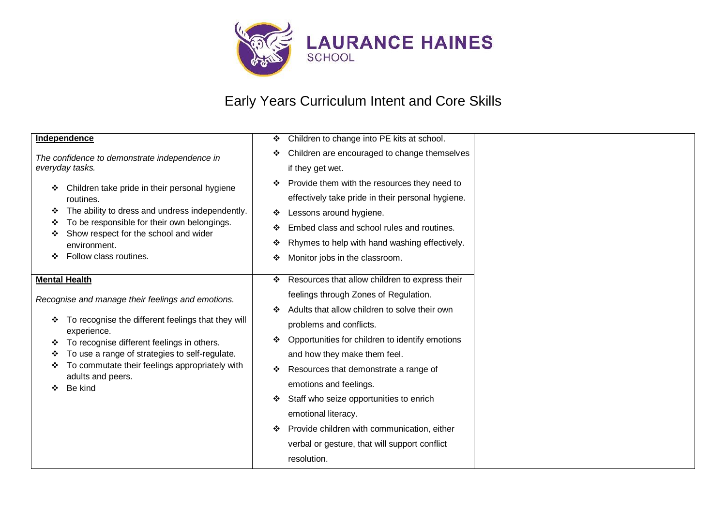

| Independence<br>Children to change into PE kits at school.<br>❖                                                                                   |
|---------------------------------------------------------------------------------------------------------------------------------------------------|
|                                                                                                                                                   |
| Children are encouraged to change themselves<br>❖<br>The confidence to demonstrate independence in                                                |
| everyday tasks.<br>if they get wet.                                                                                                               |
| Provide them with the resources they need to<br>❖<br>Children take pride in their personal hygiene<br>❖                                           |
| effectively take pride in their personal hygiene.<br>routines.                                                                                    |
| The ability to dress and undress independently.<br>❖<br>Lessons around hygiene.<br>❖                                                              |
| To be responsible for their own belongings.<br>❖<br>Embed class and school rules and routines.<br>❖<br>Show respect for the school and wider<br>❖ |
| Rhymes to help with hand washing effectively.<br>❖<br>environment.                                                                                |
| Follow class routines.<br>Monitor jobs in the classroom.<br>❖                                                                                     |
|                                                                                                                                                   |
| <b>Mental Health</b><br>Resources that allow children to express their<br>❖                                                                       |
| feelings through Zones of Regulation.<br>Recognise and manage their feelings and emotions.                                                        |
| Adults that allow children to solve their own                                                                                                     |
| To recognise the different feelings that they will<br>❖<br>problems and conflicts.<br>experience.                                                 |
| Opportunities for children to identify emotions<br>❖<br>To recognise different feelings in others.<br>❖                                           |
| To use a range of strategies to self-regulate.<br>and how they make them feel.<br>❖                                                               |
| To commutate their feelings appropriately with<br>❖<br>Resources that demonstrate a range of<br>❖                                                 |
| adults and peers.<br>emotions and feelings.<br>Be kind                                                                                            |
| Staff who seize opportunities to enrich<br>❖                                                                                                      |
| emotional literacy.                                                                                                                               |
| Provide children with communication, either<br>❖                                                                                                  |
| verbal or gesture, that will support conflict                                                                                                     |
| resolution.                                                                                                                                       |